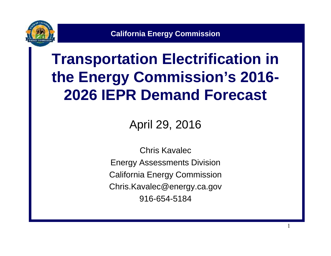

**California Energy Commission**

#### **Transportation Electrification in the Energy Commission's 2016- 2026 IEPR Demand Forecast**

April 29, 2016

Chris Kavalec Energy Assessments Division California Energy Commission Chris.Kavalec@energy.ca.gov 916-654-5184

1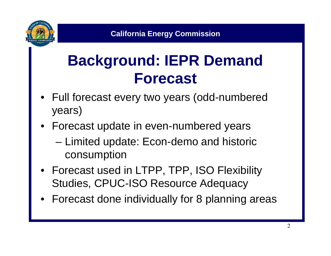

#### **Background: IEPR Demand Forecast**

- Full forecast every two years (odd-numbered years)
- Forecast update in even-numbered years
	- Limited update: Econ-demo and historic consumption
- Forecast used in LTPP, TPP, ISO Flexibility Studies, CPUC-ISO Resource Adequacy
- Forecast done individually for 8 planning areas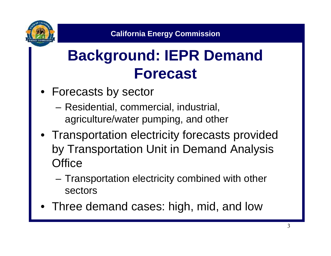

#### **Background: IEPR Demand Forecast**

- Forecasts by sector
	- Residential, commercial, industrial, agriculture/water pumping, and other
- Transportation electricity forecasts provided by Transportation Unit in Demand Analysis **Office** 
	- Transportation electricity combined with other sectors
- Three demand cases: high, mid, and low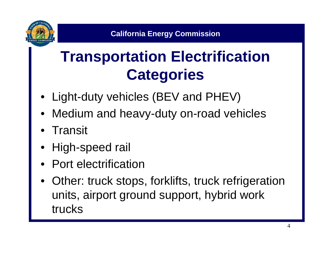

### **Transportation Electrification Categories**

- Light-duty vehicles (BEV and PHEV)
- Medium and heavy-duty on-road vehicles
- **Transit**
- High-speed rail
- Port electrification
- Other: truck stops, forklifts, truck refrigeration units, airport ground support, hybrid work trucks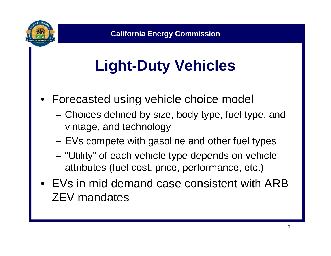

# **Light-Duty Vehicles**

- Forecasted using vehicle choice model
	- Choices defined by size, body type, fuel type, and vintage, and technology
	- EVs compete with gasoline and other fuel types
	- "Utility" of each vehicle type depends on vehicle attributes (fuel cost, price, performance, etc.)
- EVs in mid demand case consistent with ARB ZEV mandates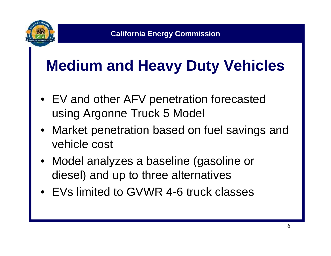

### **Medium and Heavy Duty Vehicles**

- EV and other AFV penetration forecasted using Argonne Truck 5 Model
- Market penetration based on fuel savings and vehicle cost
- Model analyzes a baseline (gasoline or diesel) and up to three alternatives
- EVs limited to GVWR 4-6 truck classes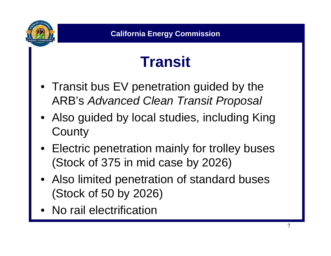

### **Transit**

- Transit bus EV penetration guided by the ARB's *Advanced Clean Transit Proposal*
- Also guided by local studies, including King **County**
- Electric penetration mainly for trolley buses (Stock of 375 in mid case by 2026)
- Also limited penetration of standard buses (Stock of 50 by 2026)
- No rail electrification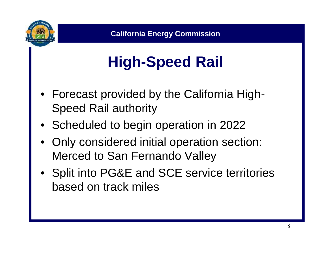

# **High-Speed Rail**

- Forecast provided by the California High- Speed Rail authority
- Scheduled to begin operation in 2022
- Only considered initial operation section: Merced to San Fernando Valley
- Split into PG&E and SCE service territories based on track miles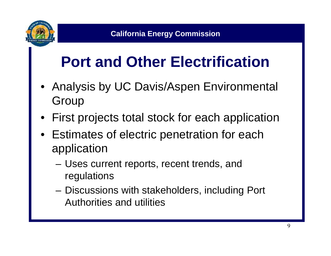

# **Port and Other Electrification**

- Analysis by UC Davis/Aspen Environmental Group
- First projects total stock for each application
- Estimates of electric penetration for each application
	- Uses current reports, recent trends, and regulations
	- Discussions with stakeholders, including Port Authorities and utilities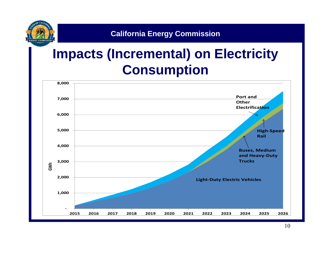

#### **California Energy Commission**

#### **Impacts (Incremental) on Electricity Consumption**